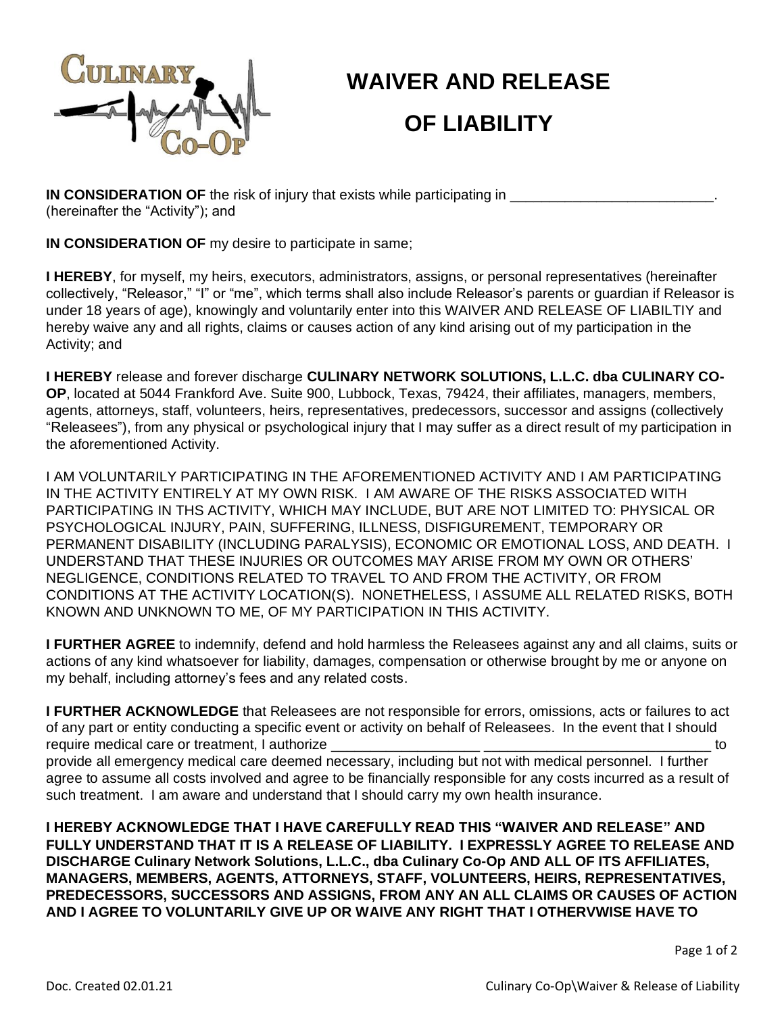

## **WAIVER AND RELEASE OF LIABILITY**

**IN CONSIDERATION OF** the risk of injury that exists while participating in \_\_\_\_\_\_\_\_\_\_\_\_\_\_\_\_\_\_\_\_\_\_\_\_\_\_. (hereinafter the "Activity"); and

**IN CONSIDERATION OF** my desire to participate in same;

**I HEREBY**, for myself, my heirs, executors, administrators, assigns, or personal representatives (hereinafter collectively, "Releasor," "I" or "me", which terms shall also include Releasor's parents or guardian if Releasor is under 18 years of age), knowingly and voluntarily enter into this WAIVER AND RELEASE OF LIABILTIY and hereby waive any and all rights, claims or causes action of any kind arising out of my participation in the Activity; and

**I HEREBY** release and forever discharge **CULINARY NETWORK SOLUTIONS, L.L.C. dba CULINARY CO-OP**, located at 5044 Frankford Ave. Suite 900, Lubbock, Texas, 79424, their affiliates, managers, members, agents, attorneys, staff, volunteers, heirs, representatives, predecessors, successor and assigns (collectively "Releasees"), from any physical or psychological injury that I may suffer as a direct result of my participation in the aforementioned Activity.

I AM VOLUNTARILY PARTICIPATING IN THE AFOREMENTIONED ACTIVITY AND I AM PARTICIPATING IN THE ACTIVITY ENTIRELY AT MY OWN RISK. I AM AWARE OF THE RISKS ASSOCIATED WITH PARTICIPATING IN THS ACTIVITY, WHICH MAY INCLUDE, BUT ARE NOT LIMITED TO: PHYSICAL OR PSYCHOLOGICAL INJURY, PAIN, SUFFERING, ILLNESS, DISFIGUREMENT, TEMPORARY OR PERMANENT DISABILITY (INCLUDING PARALYSIS), ECONOMIC OR EMOTIONAL LOSS, AND DEATH. I UNDERSTAND THAT THESE INJURIES OR OUTCOMES MAY ARISE FROM MY OWN OR OTHERS' NEGLIGENCE, CONDITIONS RELATED TO TRAVEL TO AND FROM THE ACTIVITY, OR FROM CONDITIONS AT THE ACTIVITY LOCATION(S). NONETHELESS, I ASSUME ALL RELATED RISKS, BOTH KNOWN AND UNKNOWN TO ME, OF MY PARTICIPATION IN THIS ACTIVITY.

**I FURTHER AGREE** to indemnify, defend and hold harmless the Releasees against any and all claims, suits or actions of any kind whatsoever for liability, damages, compensation or otherwise brought by me or anyone on my behalf, including attorney's fees and any related costs.

**I FURTHER ACKNOWLEDGE** that Releasees are not responsible for errors, omissions, acts or failures to act of any part or entity conducting a specific event or activity on behalf of Releasees. In the event that I should require medical care or treatment, I authorize \_\_\_\_\_\_\_\_\_\_\_\_\_\_\_\_\_\_\_\_\_\_\_\_\_\_\_\_\_\_\_\_\_\_ provide all emergency medical care deemed necessary, including but not with medical personnel. I further agree to assume all costs involved and agree to be financially responsible for any costs incurred as a result of such treatment. I am aware and understand that I should carry my own health insurance.

**I HEREBY ACKNOWLEDGE THAT I HAVE CAREFULLY READ THIS "WAIVER AND RELEASE" AND FULLY UNDERSTAND THAT IT IS A RELEASE OF LIABILITY. I EXPRESSLY AGREE TO RELEASE AND DISCHARGE Culinary Network Solutions, L.L.C., dba Culinary Co-Op AND ALL OF ITS AFFILIATES, MANAGERS, MEMBERS, AGENTS, ATTORNEYS, STAFF, VOLUNTEERS, HEIRS, REPRESENTATIVES, PREDECESSORS, SUCCESSORS AND ASSIGNS, FROM ANY AN ALL CLAIMS OR CAUSES OF ACTION AND I AGREE TO VOLUNTARILY GIVE UP OR WAIVE ANY RIGHT THAT I OTHERVWISE HAVE TO** 

Page 1 of 2